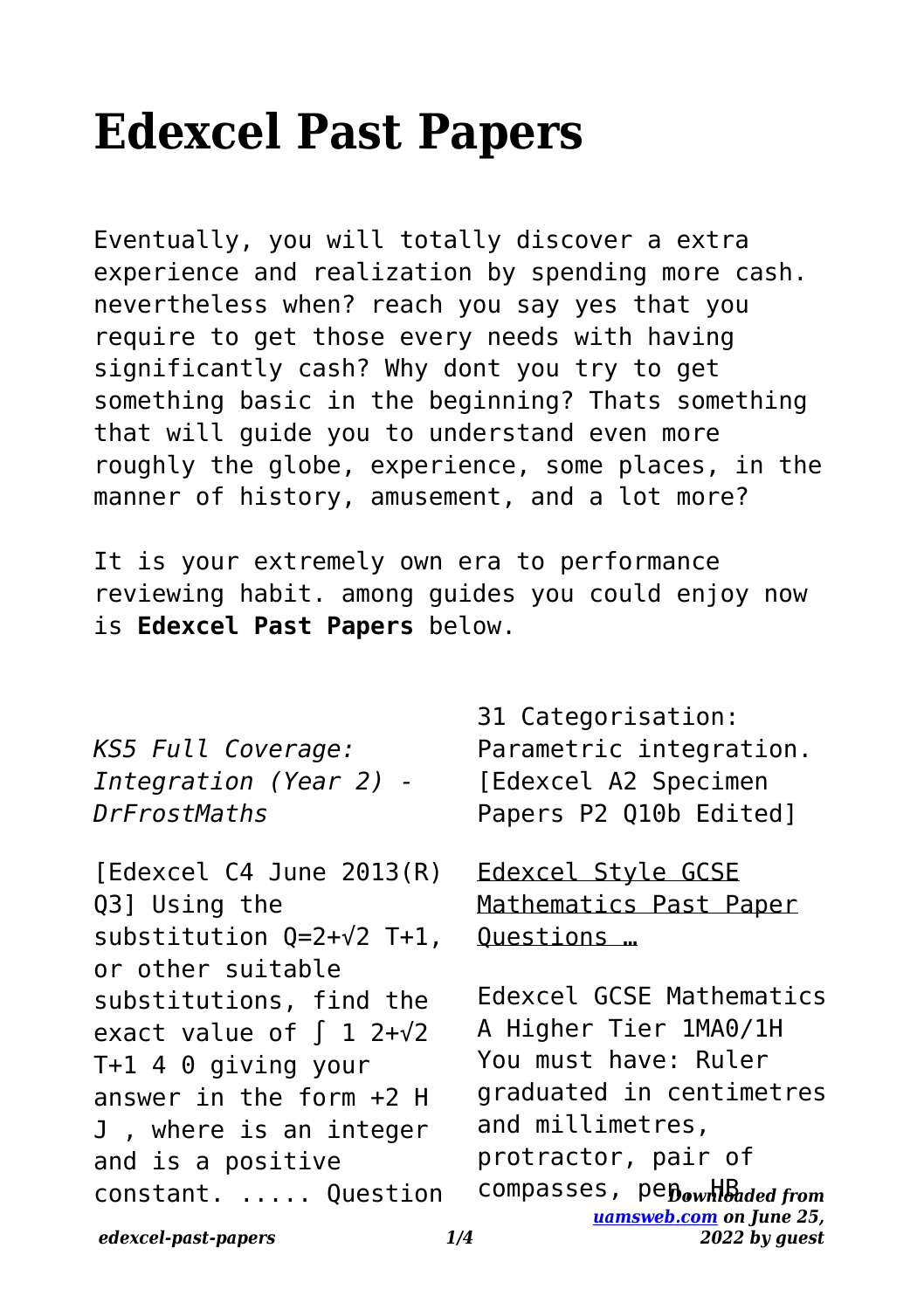# **Edexcel Past Papers**

Eventually, you will totally discover a extra experience and realization by spending more cash. nevertheless when? reach you say yes that you require to get those every needs with having significantly cash? Why dont you try to get something basic in the beginning? Thats something that will guide you to understand even more roughly the globe, experience, some places, in the manner of history, amusement, and a lot more?

It is your extremely own era to performance reviewing habit. among guides you could enjoy now is **Edexcel Past Papers** below.

*KS5 Full Coverage: Integration (Year 2) - DrFrostMaths*

[Edexcel C4 June 2013(R) Q3] Using the substitution Q=2+√2 T+1, or other suitable substitutions, find the exact value of  $\int 1 \cdot 2 + \sqrt{2}$ T+1 4 0 giving your answer in the form +2 H J , where is an integer and is a positive constant. ..... Question

31 Categorisation: Parametric integration. [Edexcel A2 Specimen Papers P2 Q10b Edited]

Edexcel Style GCSE Mathematics Past Paper Questions …

compasses, pepownloaded from *[uamsweb.com](http://uamsweb.com) on June 25, 2022 by guest* Edexcel GCSE Mathematics A Higher Tier 1MA0/1H You must have: Ruler graduated in centimetres and millimetres, protractor, pair of

*edexcel-past-papers 1/4*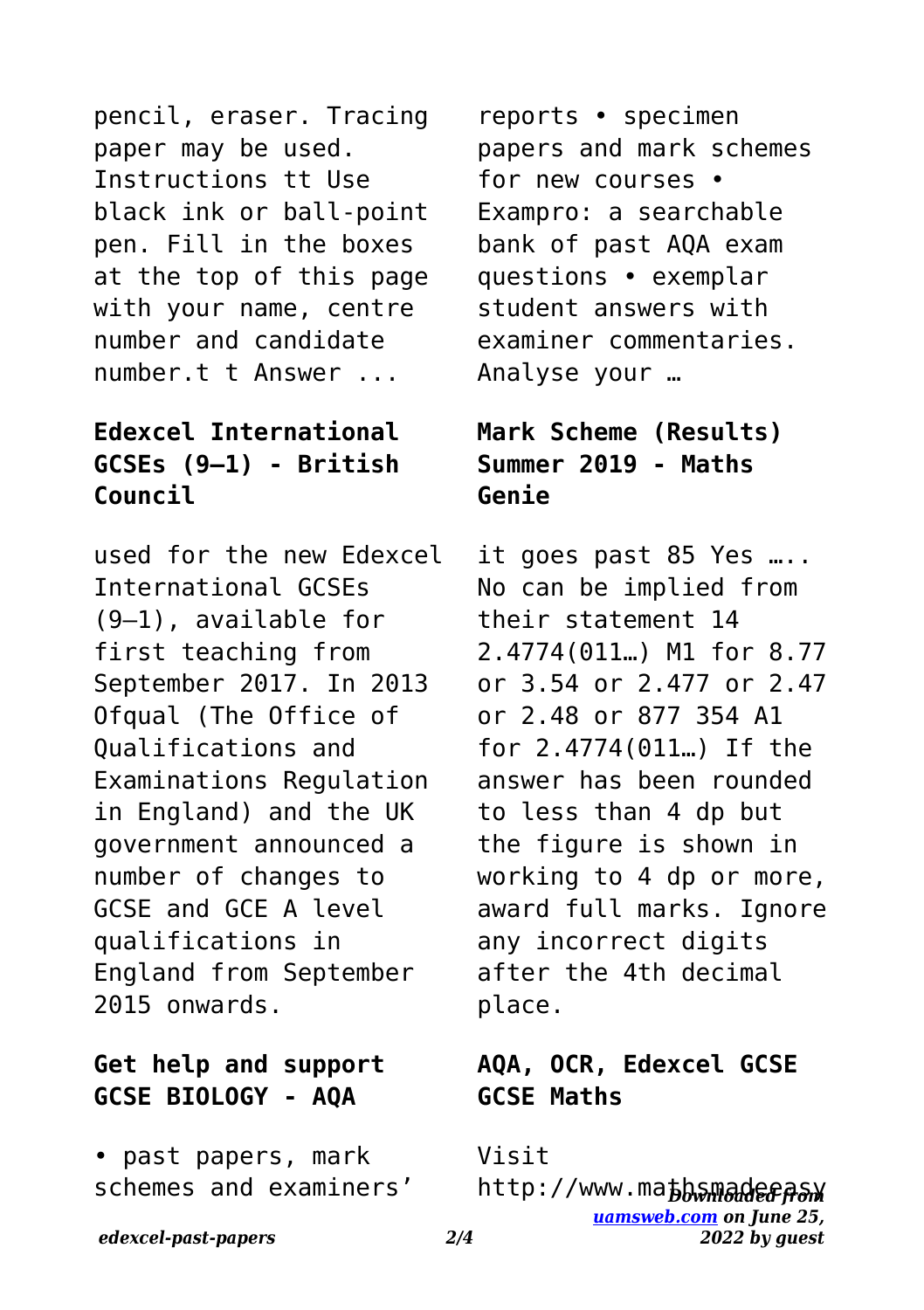pencil, eraser. Tracing paper may be used. Instructions tt Use black ink or ball-point pen. Fill in the boxes at the top of this page with your name, centre number and candidate number.t t Answer ...

#### **Edexcel International GCSEs (9–1) - British Council**

used for the new Edexcel International GCSEs (9–1), available for first teaching from September 2017. In 2013 Ofqual (The Office of Qualifications and Examinations Regulation in England) and the UK government announced a number of changes to GCSE and GCE A level qualifications in England from September 2015 onwards.

### **Get help and support GCSE BIOLOGY - AQA**

• past papers, mark schemes and examiners'

reports • specimen papers and mark schemes for new courses • Exampro: a searchable bank of past AQA exam questions • exemplar student answers with examiner commentaries. Analyse your …

### **Mark Scheme (Results) Summer 2019 - Maths Genie**

it goes past 85 Yes ….. No can be implied from their statement 14 2.4774(011…) M1 for 8.77 or 3.54 or 2.477 or 2.47 or 2.48 or 877 354 A1 for 2.4774(011…) If the answer has been rounded to less than 4 dp but the figure is shown in working to 4 dp or more, award full marks. Ignore any incorrect digits after the 4th decimal place.

#### **AQA, OCR, Edexcel GCSE GCSE Maths**

Visit

http://www.ma<del>bbsmadee*በaw*</del> *[uamsweb.com](http://uamsweb.com) on June 25, 2022 by guest*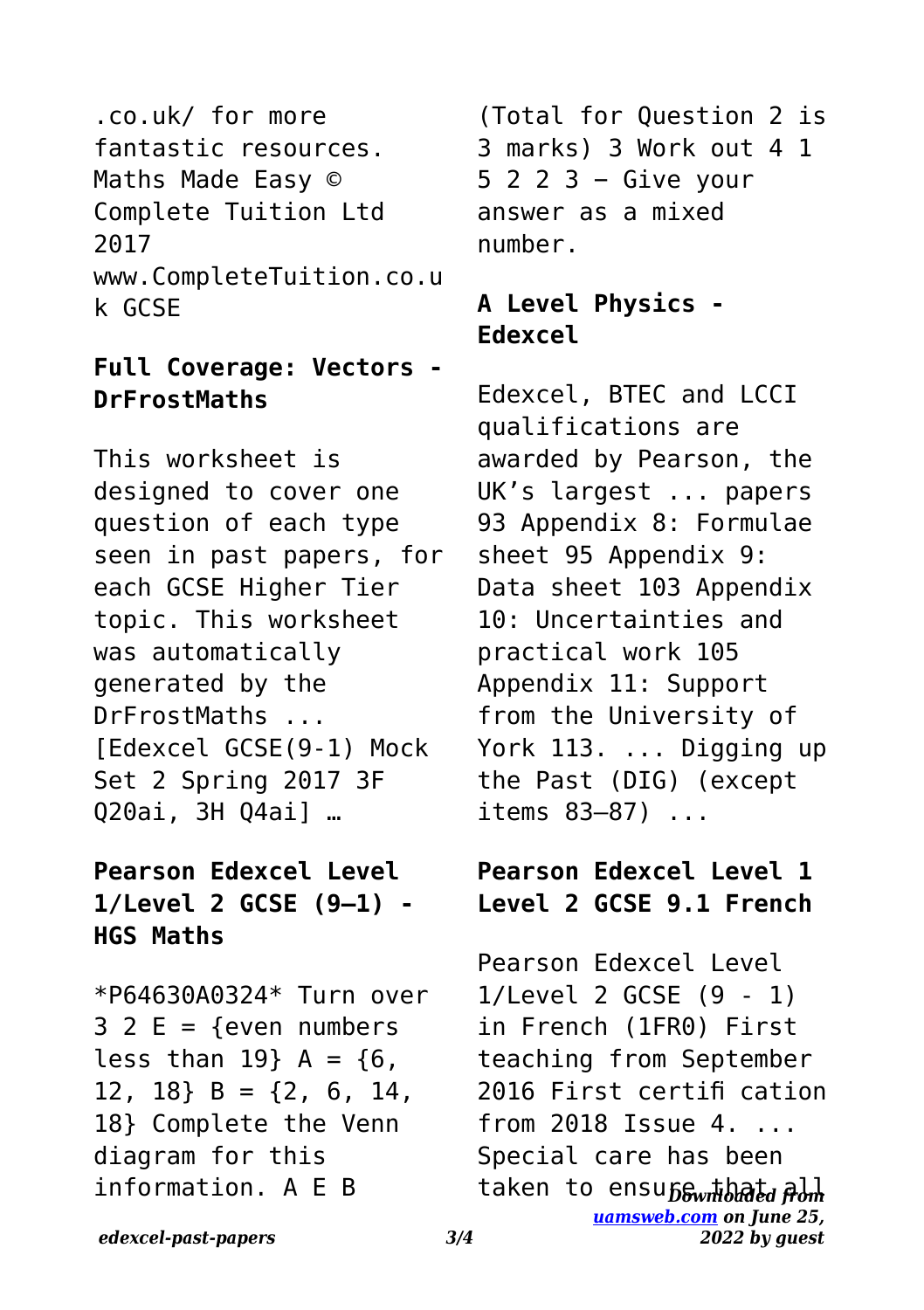.co.uk/ for more fantastic resources. Maths Made Easy © Complete Tuition Ltd 2017 www.CompleteTuition.co.u k GCSE

#### **Full Coverage: Vectors - DrFrostMaths**

This worksheet is designed to cover one question of each type seen in past papers, for each GCSE Higher Tier topic. This worksheet was automatically generated by the DrFrostMaths ... [Edexcel GCSE(9-1) Mock Set 2 Spring 2017 3F Q20ai, 3H Q4ai] …

### **Pearson Edexcel Level 1/Level 2 GCSE (9–1) - HGS Maths**

\*P64630A0324\* Turn over  $3 2 E =$  {even numbers less than  $19$ } A =  $\{6,$ 12, 18}  $B = \{2, 6, 14,$ 18} Complete the Venn diagram for this information. A E B

(Total for Question 2 is 3 marks) 3 Work out 4 1 5 2 2 3 − Give your answer as a mixed number.

## **A Level Physics - Edexcel**

Edexcel, BTEC and LCCI qualifications are awarded by Pearson, the UK's largest ... papers 93 Appendix 8: Formulae sheet 95 Appendix 9: Data sheet 103 Appendix 10: Uncertainties and practical work 105 Appendix 11: Support from the University of York 113. ... Digging up the Past (DIG) (except items 83–87) ...

#### **Pearson Edexcel Level 1 Level 2 GCSE 9.1 French**

taken to ensu*fi film taken [uamsweb.com](http://uamsweb.com) on June 25, 2022 by guest* Pearson Edexcel Level 1/Level 2 GCSE (9 - 1) in French (1FR0) First teaching from September 2016 First certifi cation from 2018 Issue 4. ... Special care has been

*edexcel-past-papers 3/4*